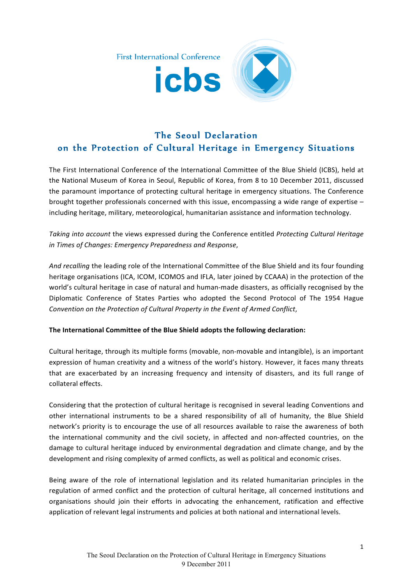

## The Seoul Declaration on the Protection of Cultural Heritage in Emergency Situations

The First International Conference of the International Committee of the Blue Shield (ICBS), held at the National Museum of Korea in Seoul, Republic of Korea, from 8 to 10 December 2011, discussed the paramount importance of protecting cultural heritage in emergency situations. The Conference brought together professionals concerned with this issue, encompassing a wide range of expertise  $$ including heritage, military, meteorological, humanitarian assistance and information technology.

*Taking into account* the views expressed during the Conference entitled Protecting Cultural Heritage *in Times of Changes: Emergency Preparedness and Response,* 

And recalling the leading role of the International Committee of the Blue Shield and its four founding heritage organisations (ICA, ICOM, ICOMOS and IFLA, later joined by CCAAA) in the protection of the world's cultural heritage in case of natural and human-made disasters, as officially recognised by the Diplomatic Conference of States Parties who adopted the Second Protocol of The 1954 Hague *Convention on the Protection of Cultural Property in the Event of Armed Conflict,* 

## The International Committee of the Blue Shield adopts the following declaration:

Cultural heritage, through its multiple forms (movable, non-movable and intangible), is an important expression of human creativity and a witness of the world's history. However, it faces many threats that are exacerbated by an increasing frequency and intensity of disasters, and its full range of collateral"effects."

Considering that the protection of cultural heritage is recognised in several leading Conventions and other international instruments to be a shared responsibility of all of humanity, the Blue Shield network's priority is to encourage the use of all resources available to raise the awareness of both the international community and the civil society, in affected and non-affected countries, on the damage to cultural heritage induced by environmental degradation and climate change, and by the development and rising complexity of armed conflicts, as well as political and economic crises.

Being aware of the role of international legislation and its related humanitarian principles in the regulation of armed conflict and the protection of cultural heritage, all concerned institutions and organisations should join their efforts in advocating the enhancement, ratification and effective application of relevant legal instruments and policies at both national and international levels.